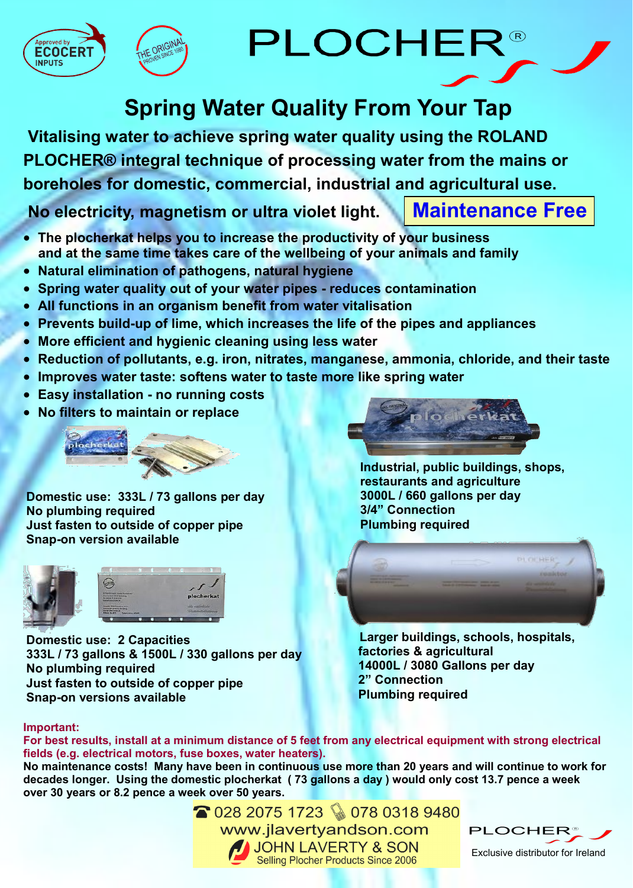





# **Spring Water Quality From Your Tap**

**Vitalising water to achieve spring water quality using the ROLAND PLOCHER® integral technique of processing water from the mains or boreholes for domestic, commercial, industrial and agricultural use.**

**No electricity, magnetism or ultra violet light. Maintenance Free**

- **The plocherkat helps you to increase the productivity of your business and at the same time takes care of the wellbeing of your animals and family**
- **Natural elimination of pathogens, natural hygiene**
- **Spring water quality out of your water pipes - reduces contamination**
- **All functions in an organism benefit from water vitalisation**
- **Prevents build-up of lime, which increases the life of the pipes and appliances**
- **More efficient and hygienic cleaning using less water**
- **Reduction of pollutants, e.g. iron, nitrates, manganese, ammonia, chloride, and their taste**
- **Improves water taste: softens water to taste more like spring water**
- **Easy installation - no running costs**
- **No filters to maintain or replace**



**Domestic use: 333L / 73 gallons per day No plumbing required Just fasten to outside of copper pipe Snap-on version available**



**Domestic use: 2 Capacities 333L / 73 gallons & 1500L / 330 gallons per day No plumbing required Just fasten to outside of copper pipe Snap-on versions available**



**Industrial, public buildings, shops, restaurants and agriculture 3000L / 660 gallons per day 3/4" Connection Plumbing required**



 **Larger buildings, schools, hospitals, factories & agricultural 14000L / 3080 Gallons per day 2" Connection Plumbing required**

### **Important:**

**For best results, install at a minimum distance of 5 feet from any electrical equipment with strong electrical fields (e.g. electrical motors, fuse boxes, water heaters).**

**No maintenance costs! Many have been in continuous use more than 20 years and will continue to work for decades longer. Using the domestic plocherkat ( 73 gallons a day ) would only cost 13.7 pence a week over 30 years or 8.2 pence a week over 50 years.**

> ● 028 2075 1723 ♦ 078 0318 9480 www.jlavertyandson.com JOHN LAVERTY & SON Selling Plocher Products Since 2006



Exclusive distributor for Ireland